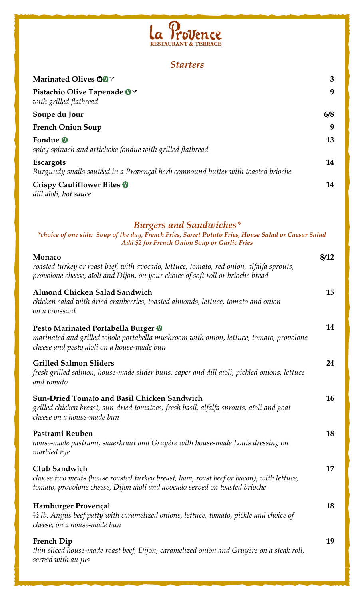

## *Starters*

| Marinated Olives OUY                                                                                                                                                                    | 3    |
|-----------------------------------------------------------------------------------------------------------------------------------------------------------------------------------------|------|
| Pistachio Olive Tapenade OY<br>with grilled flatbread                                                                                                                                   | 9    |
| Soupe du Jour                                                                                                                                                                           | 6/8  |
| <b>French Onion Soup</b>                                                                                                                                                                | 9    |
| Fondue <sup>O</sup><br>spicy spinach and artichoke fondue with grilled flatbread                                                                                                        | 13   |
| <b>Escargots</b><br>Burgundy snails sautéed in a Provençal herb compound butter with toasted brioche                                                                                    | 14   |
| <b>Crispy Cauliflower Bites O</b><br>dill aïoli, hot sauce                                                                                                                              | 14   |
| <b>Burgers and Sandwiches*</b><br>*choice of one side: Soup of the day, French Fries, Sweet Potato Fries, House Salad or Caesar Salad<br>Add \$2 for French Onion Soup or Garlic Fries  |      |
| Monaco<br>roasted turkey or roast beef, with avocado, lettuce, tomato, red onion, alfalfa sprouts,<br>provolone cheese, aïoli and Dijon, on your choice of soft roll or brioche bread   | 8/12 |
| Almond Chicken Salad Sandwich<br>chicken salad with dried cranberries, toasted almonds, lettuce, tomato and onion<br>on a croissant                                                     | 15   |
| Pesto Marinated Portabella Burger <sup>0</sup><br>marinated and grilled whole portabella mushroom with onion, lettuce, tomato, provolone<br>cheese and pesto aïoli on a house-made bun  | 14   |
| <b>Grilled Salmon Sliders</b><br>fresh grilled salmon, house-made slider buns, caper and dill aïoli, pickled onions, lettuce<br>and tomato                                              | 24   |
| <b>Sun-Dried Tomato and Basil Chicken Sandwich</b><br>grilled chicken breast, sun-dried tomatoes, fresh basil, alfalfa sprouts, aïoli and goat<br>cheese on a house-made bun            | 16   |
| Pastrami Reuben<br>house-made pastrami, sauerkraut and Gruyère with house-made Louis dressing on<br>marbled rye                                                                         | 18   |
| Club Sandwich<br>choose two meats (house roasted turkey breast, ham, roast beef or bacon), with lettuce,<br>tomato, provolone cheese, Dijon aïoli and avocado served on toasted brioche | 17   |
| Hamburger Provençal<br>$\frac{1}{2}$ lb. Angus beef patty with caramelized onions, lettuce, tomato, pickle and choice of<br>cheese, on a house-made bun                                 | 18   |
| <b>French Dip</b><br>thin sliced house-made roast beef, Dijon, caramelized onion and Gruyère on a steak roll,<br>served with au jus                                                     | 19   |